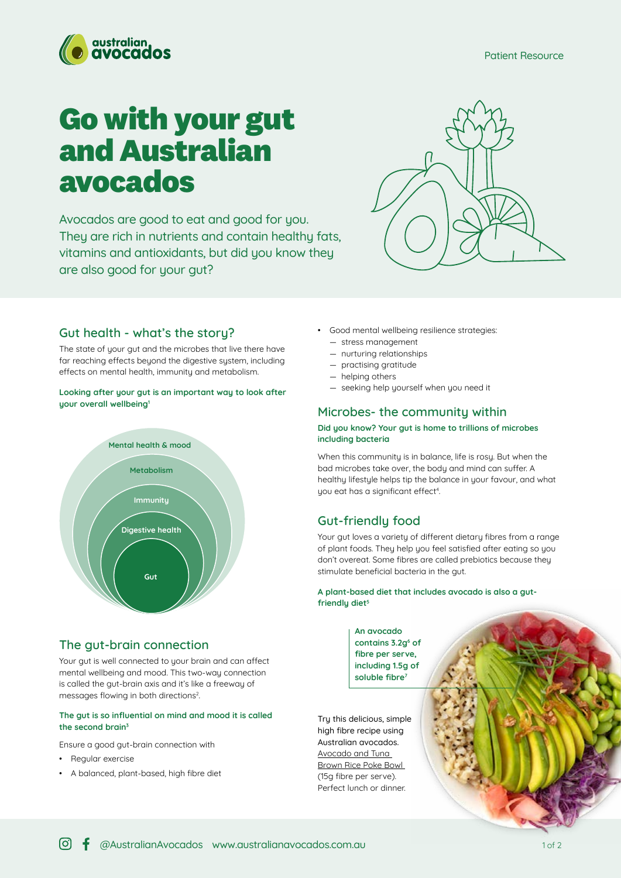

# **Go with your gut and Australian avocados**

Avocados are good to eat and good for you. They are rich in nutrients and contain healthy fats, vitamins and antioxidants, but did you know they are also good for your gut?



## **Gut health - what's the story?**

The state of your gut and the microbes that live there have far reaching effects beyond the digestive system, including effects on mental health, immunity and metabolism.

#### **Looking after your gut is an important way to look after your overall wellbeing<sup>1</sup>**



#### **The gut-brain connection**

Your gut is well connected to your brain and can affect mental wellbeing and mood. This two-way connection is called the gut-brain axis and it's like a freeway of messages flowing in both directions<sup>2</sup>.

#### **The gut is so influential on mind and mood it is called the second brain<sup>3</sup>**

Ensure a good gut-brain connection with

- Regular exercise
- A balanced, plant-based, high fibre diet
- Good mental wellbeing resilience strategies: — stress management
	- nurturing relationships
	- practising gratitude
	- helping others
	- seeking help yourself when you need it

## **Microbes- the community within**

#### **Did you know? Your gut is home to trillions of microbes including bacteria**

When this community is in balance, life is rosy. But when the bad microbes take over, the body and mind can suffer. A healthy lifestyle helps tip the balance in your favour, and what you eat has a significant effect<sup>4</sup>. .

## **Gut-friendly food**

Your gut loves a variety of different dietary fibres from a range of plant foods. They help you feel satisfied after eating so you don't overeat. Some fibres are called prebiotics because they stimulate beneficial bacteria in the gut.

**A plant-based diet that includes avocado is also a gutfriendly diet<sup>5</sup>**

#### **An avocado contains 3.2g<sup>6</sup> of fibre per serve, including 1.5g of soluble fibre<sup>7</sup>**

Try this delicious, simple high fibre recipe using Australian avocados. [Avocado and Tuna](https://australianavocados.com.au/recipes/avocado-and-tuna-brown-rice-poke-bowl/)  [Brown Rice Poke Bowl](https://australianavocados.com.au/recipes/avocado-and-tuna-brown-rice-poke-bowl/)  (15g fibre per serve). Perfect lunch or dinner.